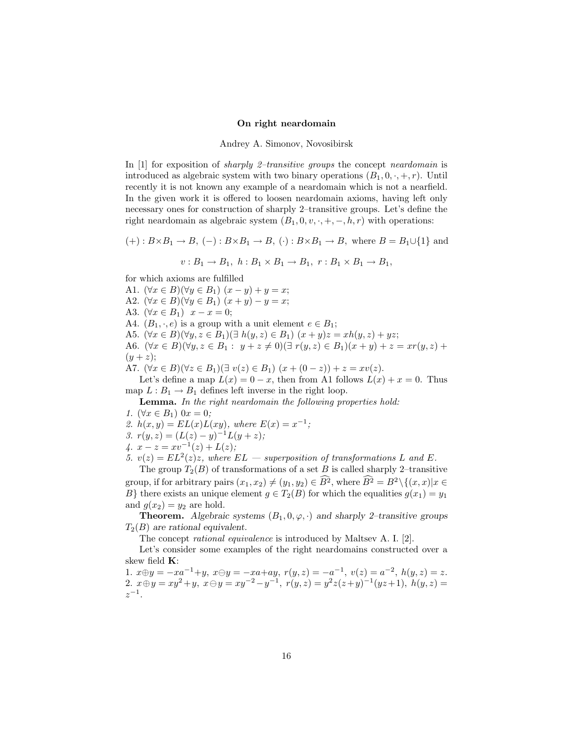## On right neardomain

Andrey A. Simonov, Novosibirsk

In [1] for exposition of *sharply 2-transitive groups* the concept *neardomain* is introduced as algebraic system with two binary operations  $(B_1, 0, \cdot, +, r)$ . Until recently it is not known any example of a neardomain which is not a nearfield. In the given work it is offered to loosen neardomain axioms, having left only necessary ones for construction of sharply 2–transitive groups. Let's define the right neardomain as algebraic system  $(B_1, 0, v, \cdot, +, -, h, r)$  with operations:

 $(+): B\times B_1 \to B, (-): B\times B_1 \to B, (·): B\times B_1 \to B,$  where  $B = B_1 \cup \{1\}$  and

$$
v: B_1 \to B_1, \ h: B_1 \times B_1 \to B_1, \ r: B_1 \times B_1 \to B_1,
$$

for which axioms are fulfilled

A1.  $(\forall x \in B)(\forall y \in B_1)$   $(x - y) + y = x$ ; A2.  $(\forall x \in B)(\forall y \in B_1)$   $(x + y) - y = x;$ A3.  $(\forall x \in B_1)$   $x - x = 0;$ A4.  $(B_1, \cdot, e)$  is a group with a unit element  $e \in B_1$ ; A5.  $(\forall x \in B)(\forall y, z \in B_1)(\exists h(y, z) \in B_1)$   $(x + y)z = xh(y, z) + yz;$ A6.  $(\forall x \in B)(\forall y, z \in B_1 : y + z \neq 0) (\exists r(y, z) \in B_1)(x + y) + z = xr(y, z) +$  $(y + z);$ A7.  $(\forall x \in B)(\forall z \in B_1)(\exists v(z) \in B_1)(x + (0 - z)) + z = xv(z).$ 

Let's define a map  $L(x) = 0 - x$ , then from A1 follows  $L(x) + x = 0$ . Thus map  $L : B_1 \to B_1$  defines left inverse in the right loop.

Lemma. In the right neardomain the following properties hold:

1.  $(\forall x \in B_1)$   $0x = 0$ ;

2.  $h(x, y) = EL(x)L(xy)$ , where  $E(x) = x^{-1}$ ;

- 3.  $r(y, z) = (L(z) y)^{-1} L(y + z);$
- 4.  $x z = xv^{-1}(z) + L(z);$

5.  $v(z) = EL^2(z)z$ , where  $EL$  – superposition of transformations L and E.

The group  $T_2(B)$  of transformations of a set B is called sharply 2–transitive group, if for arbitrary pairs  $(x_1, x_2) \neq (y_1, y_2) \in \widehat{B}^2$ , where  $\widehat{B}^2 = B^2 \setminus \{(x, x) | x \in$ B} there exists an unique element  $g \in T_2(B)$  for which the equalities  $g(x_1) = y_1$ and  $g(x_2) = y_2$  are hold.

**Theorem.** Algebraic systems  $(B_1, 0, \varphi, \cdot)$  and sharply 2-transitive groups  $T_2(B)$  are rational equivalent.

The concept rational equivalence is introduced by Maltsev A. I. [2].

Let's consider some examples of the right neardomains constructed over a skew field K:

1.  $x \oplus y = -xa^{-1} + y$ ,  $x \ominus y = -xa + ay$ ,  $r(y, z) = -a^{-1}$ ,  $v(z) = a^{-2}$ ,  $h(y, z) = z$ . 2.  $x \oplus y = xy^2 + y$ ,  $x \ominus y = xy^{-2} - y^{-1}$ ,  $r(y, z) = y^2z(z+y)^{-1}(yz+1)$ ,  $h(y, z) =$  $z^{-1}$ .